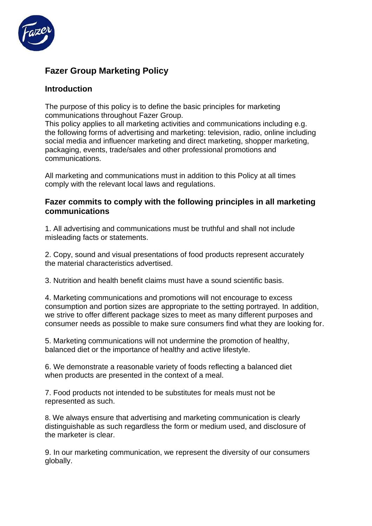

## **Fazer Group Marketing Policy**

## **Introduction**

The purpose of this policy is to define the basic principles for marketing communications throughout Fazer Group.

This policy applies to all marketing activities and communications including e.g. the following forms of advertising and marketing: television, radio, online including social media and influencer marketing and direct marketing, shopper marketing, packaging, events, trade/sales and other professional promotions and communications.

All marketing and communications must in addition to this Policy at all times comply with the relevant local laws and regulations.

## **Fazer commits to comply with the following principles in all marketing communications**

1. All advertising and communications must be truthful and shall not include misleading facts or statements.

2. Copy, sound and visual presentations of food products represent accurately the material characteristics advertised.

3. Nutrition and health benefit claims must have a sound scientific basis.

4. Marketing communications and promotions will not encourage to excess consumption and portion sizes are appropriate to the setting portrayed. In addition, we strive to offer different package sizes to meet as many different purposes and consumer needs as possible to make sure consumers find what they are looking for.

5. Marketing communications will not undermine the promotion of healthy, balanced diet or the importance of healthy and active lifestyle.

6. We demonstrate a reasonable variety of foods reflecting a balanced diet when products are presented in the context of a meal.

7. Food products not intended to be substitutes for meals must not be represented as such.

8. We always ensure that advertising and marketing communication is clearly distinguishable as such regardless the form or medium used, and disclosure of the marketer is clear.

9. In our marketing communication, we represent the diversity of our consumers globally.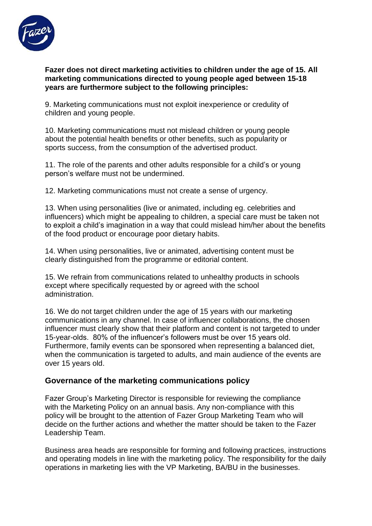

**Fazer does not direct marketing activities to children under the age of 15. All marketing communications directed to young people aged between 15-18 years are furthermore subject to the following principles:**

9. Marketing communications must not exploit inexperience or credulity of children and young people.

10. Marketing communications must not mislead children or young people about the potential health benefits or other benefits, such as popularity or sports success, from the consumption of the advertised product.

11. The role of the parents and other adults responsible for a child's or young person's welfare must not be undermined.

12. Marketing communications must not create a sense of urgency.

13. When using personalities (live or animated, including eg. celebrities and influencers) which might be appealing to children, a special care must be taken not to exploit a child's imagination in a way that could mislead him/her about the benefits of the food product or encourage poor dietary habits.

14. When using personalities, live or animated, advertising content must be clearly distinguished from the programme or editorial content.

15. We refrain from communications related to unhealthy products in schools except where specifically requested by or agreed with the school administration.

16. We do not target children under the age of 15 years with our marketing communications in any channel. In case of influencer collaborations, the chosen influencer must clearly show that their platform and content is not targeted to under 15-year-olds. 80% of the influencer's followers must be over 15 years old. Furthermore, family events can be sponsored when representing a balanced diet, when the communication is targeted to adults, and main audience of the events are over 15 years old.

## **Governance of the marketing communications policy**

Fazer Group's Marketing Director is responsible for reviewing the compliance with the Marketing Policy on an annual basis. Any non-compliance with this policy will be brought to the attention of Fazer Group Marketing Team who will decide on the further actions and whether the matter should be taken to the Fazer Leadership Team.

Business area heads are responsible for forming and following practices, instructions and operating models in line with the marketing policy. The responsibility for the daily operations in marketing lies with the VP Marketing, BA/BU in the businesses.